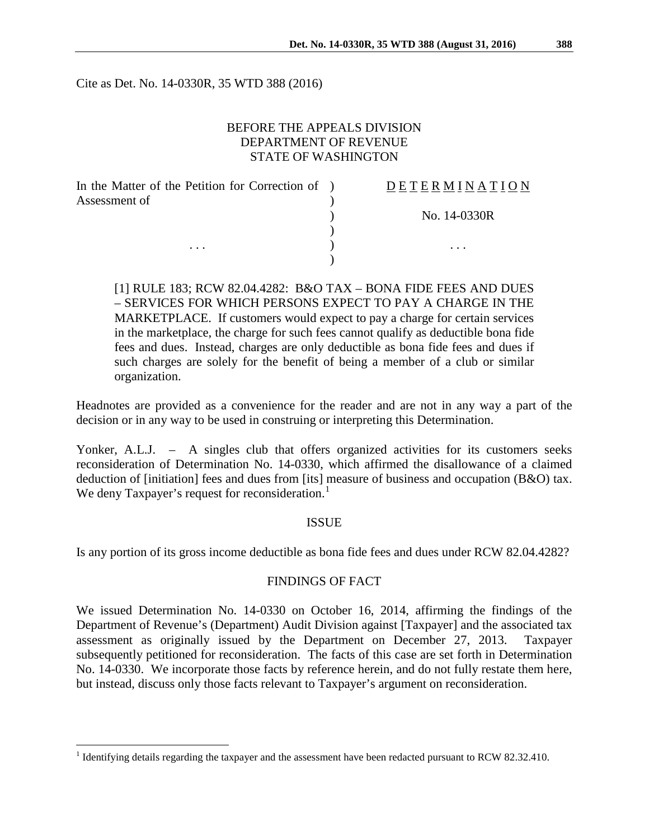Cite as Det. No. 14-0330R, 35 WTD 388 (2016)

## BEFORE THE APPEALS DIVISION DEPARTMENT OF REVENUE STATE OF WASHINGTON

| In the Matter of the Petition for Correction of ) | DETERMINATION |
|---------------------------------------------------|---------------|
| Assessment of                                     |               |
|                                                   | No. 14-0330R  |
|                                                   |               |
| $\cdots$                                          | $\cdots$      |
|                                                   |               |

[1] RULE 183; RCW 82.04.4282: B&O TAX – BONA FIDE FEES AND DUES – SERVICES FOR WHICH PERSONS EXPECT TO PAY A CHARGE IN THE MARKETPLACE. If customers would expect to pay a charge for certain services in the marketplace, the charge for such fees cannot qualify as deductible bona fide fees and dues. Instead, charges are only deductible as bona fide fees and dues if such charges are solely for the benefit of being a member of a club or similar organization.

Headnotes are provided as a convenience for the reader and are not in any way a part of the decision or in any way to be used in construing or interpreting this Determination.

Yonker, A.L.J. – A singles club that offers organized activities for its customers seeks reconsideration of Determination No. 14-0330, which affirmed the disallowance of a claimed deduction of [initiation] fees and dues from [its] measure of business and occupation (B&O) tax. We deny Taxpayer's request for reconsideration.<sup>[1](#page-0-0)</sup>

### ISSUE

Is any portion of its gross income deductible as bona fide fees and dues under RCW 82.04.4282?

### FINDINGS OF FACT

We issued Determination No. 14-0330 on October 16, 2014, affirming the findings of the Department of Revenue's (Department) Audit Division against [Taxpayer] and the associated tax assessment as originally issued by the Department on December 27, 2013. Taxpayer subsequently petitioned for reconsideration. The facts of this case are set forth in Determination No. 14-0330. We incorporate those facts by reference herein, and do not fully restate them here, but instead, discuss only those facts relevant to Taxpayer's argument on reconsideration.

<span id="page-0-0"></span><sup>&</sup>lt;sup>1</sup> Identifying details regarding the taxpayer and the assessment have been redacted pursuant to RCW 82.32.410.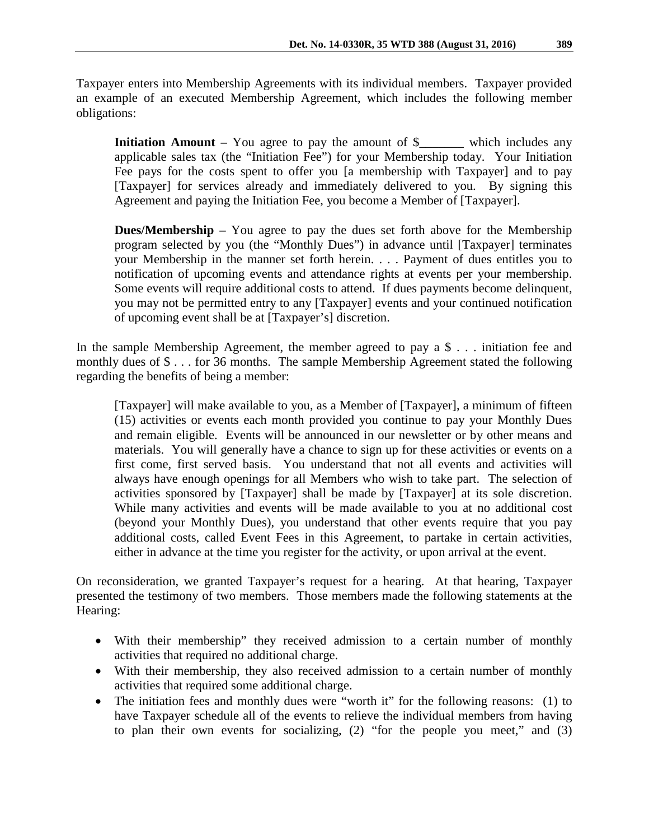Taxpayer enters into Membership Agreements with its individual members. Taxpayer provided an example of an executed Membership Agreement, which includes the following member obligations:

**Initiation Amount** – You agree to pay the amount of \$\_\_\_\_\_\_\_ which includes any applicable sales tax (the "Initiation Fee") for your Membership today. Your Initiation Fee pays for the costs spent to offer you [a membership with Taxpayer] and to pay [Taxpayer] for services already and immediately delivered to you. By signing this Agreement and paying the Initiation Fee, you become a Member of [Taxpayer].

**Dues/Membership** – You agree to pay the dues set forth above for the Membership program selected by you (the "Monthly Dues") in advance until [Taxpayer] terminates your Membership in the manner set forth herein. . . . Payment of dues entitles you to notification of upcoming events and attendance rights at events per your membership. Some events will require additional costs to attend. If dues payments become delinquent, you may not be permitted entry to any [Taxpayer] events and your continued notification of upcoming event shall be at [Taxpayer's] discretion.

In the sample Membership Agreement, the member agreed to pay a \$ . . . initiation fee and monthly dues of \$ . . . for 36 months. The sample Membership Agreement stated the following regarding the benefits of being a member:

[Taxpayer] will make available to you, as a Member of [Taxpayer], a minimum of fifteen (15) activities or events each month provided you continue to pay your Monthly Dues and remain eligible. Events will be announced in our newsletter or by other means and materials. You will generally have a chance to sign up for these activities or events on a first come, first served basis. You understand that not all events and activities will always have enough openings for all Members who wish to take part. The selection of activities sponsored by [Taxpayer] shall be made by [Taxpayer] at its sole discretion. While many activities and events will be made available to you at no additional cost (beyond your Monthly Dues), you understand that other events require that you pay additional costs, called Event Fees in this Agreement, to partake in certain activities, either in advance at the time you register for the activity, or upon arrival at the event.

On reconsideration, we granted Taxpayer's request for a hearing. At that hearing, Taxpayer presented the testimony of two members. Those members made the following statements at the Hearing:

- With their membership" they received admission to a certain number of monthly activities that required no additional charge.
- With their membership, they also received admission to a certain number of monthly activities that required some additional charge.
- The initiation fees and monthly dues were "worth it" for the following reasons: (1) to have Taxpayer schedule all of the events to relieve the individual members from having to plan their own events for socializing,  $(2)$  "for the people you meet," and  $(3)$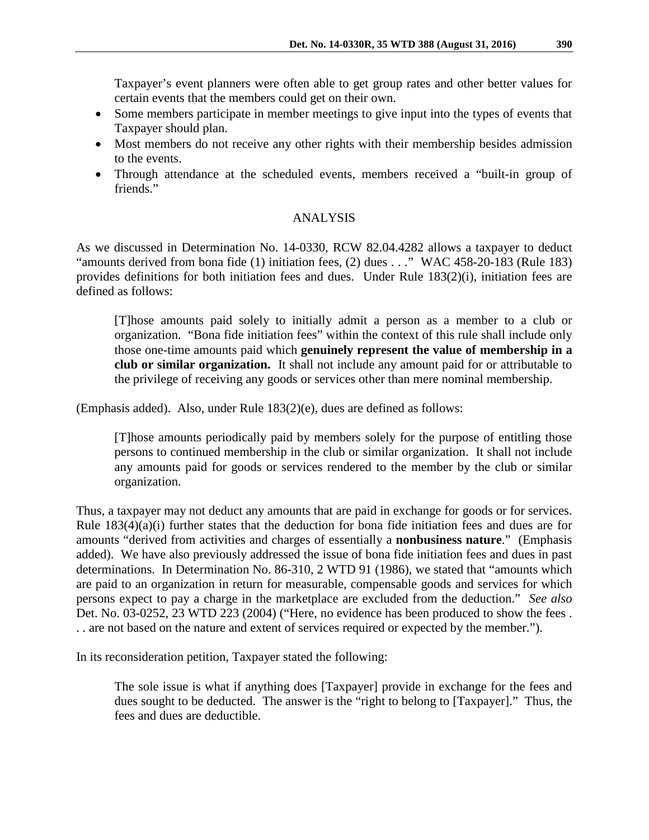Taxpayer's event planners were often able to get group rates and other better values for certain events that the members could get on their own.

- Some members participate in member meetings to give input into the types of events that Taxpayer should plan.
- Most members do not receive any other rights with their membership besides admission to the events.
- Through attendance at the scheduled events, members received a "built-in group of friends."

# ANALYSIS

As we discussed in Determination No. 14-0330, RCW 82.04.4282 allows a taxpayer to deduct "amounts derived from bona fide (1) initiation fees, (2) dues . . ." WAC 458-20-183 (Rule 183) provides definitions for both initiation fees and dues. Under Rule 183(2)(i), initiation fees are defined as follows:

[T]hose amounts paid solely to initially admit a person as a member to a club or organization. "Bona fide initiation fees" within the context of this rule shall include only those one-time amounts paid which **genuinely represent the value of membership in a club or similar organization.** It shall not include any amount paid for or attributable to the privilege of receiving any goods or services other than mere nominal membership.

(Emphasis added). Also, under Rule 183(2)(e), dues are defined as follows:

[T]hose amounts periodically paid by members solely for the purpose of entitling those persons to continued membership in the club or similar organization. It shall not include any amounts paid for goods or services rendered to the member by the club or similar organization.

Thus, a taxpayer may not deduct any amounts that are paid in exchange for goods or for services. Rule  $183(4)(a)(i)$  further states that the deduction for bona fide initiation fees and dues are for amounts "derived from activities and charges of essentially a **nonbusiness nature**." (Emphasis added). We have also previously addressed the issue of bona fide initiation fees and dues in past determinations. In Determination No. 86-310, 2 WTD 91 (1986), we stated that "amounts which are paid to an organization in return for measurable, compensable goods and services for which persons expect to pay a charge in the marketplace are excluded from the deduction." *See also*  Det. No. 03-0252, 23 WTD 223 (2004) ("Here, no evidence has been produced to show the fees . . . are not based on the nature and extent of services required or expected by the member.").

In its reconsideration petition, Taxpayer stated the following:

The sole issue is what if anything does [Taxpayer] provide in exchange for the fees and dues sought to be deducted. The answer is the "right to belong to [Taxpayer]." Thus, the fees and dues are deductible.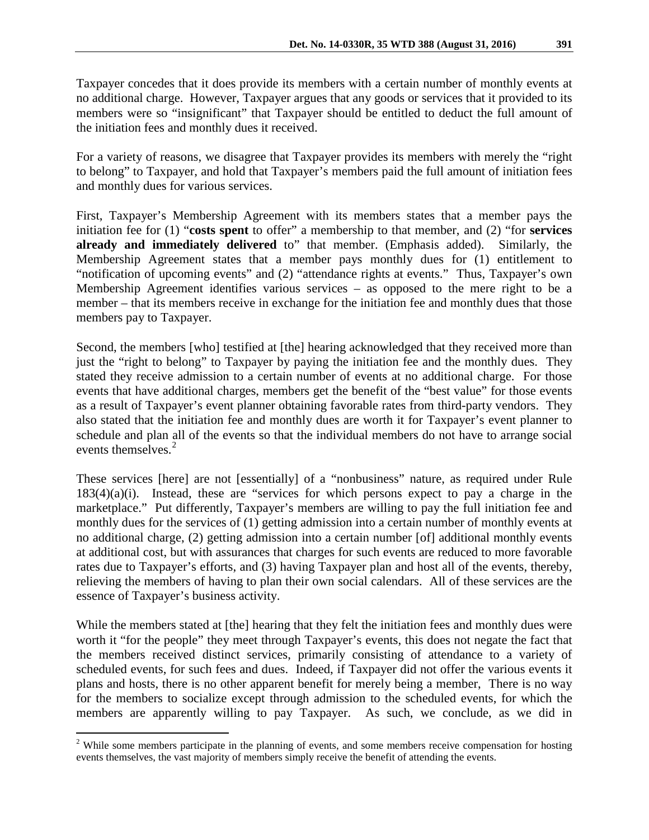For a variety of reasons, we disagree that Taxpayer provides its members with merely the "right to belong" to Taxpayer, and hold that Taxpayer's members paid the full amount of initiation fees and monthly dues for various services.

First, Taxpayer's Membership Agreement with its members states that a member pays the initiation fee for (1) "**costs spent** to offer" a membership to that member, and (2) "for **services already and immediately delivered** to" that member. (Emphasis added). Similarly, the Membership Agreement states that a member pays monthly dues for (1) entitlement to "notification of upcoming events" and (2) "attendance rights at events." Thus, Taxpayer's own Membership Agreement identifies various services – as opposed to the mere right to be a member – that its members receive in exchange for the initiation fee and monthly dues that those members pay to Taxpayer.

Second, the members [who] testified at [the] hearing acknowledged that they received more than just the "right to belong" to Taxpayer by paying the initiation fee and the monthly dues. They stated they receive admission to a certain number of events at no additional charge. For those events that have additional charges, members get the benefit of the "best value" for those events as a result of Taxpayer's event planner obtaining favorable rates from third-party vendors. They also stated that the initiation fee and monthly dues are worth it for Taxpayer's event planner to schedule and plan all of the events so that the individual members do not have to arrange social events themselves.<sup>[2](#page-3-0)</sup>

These services [here] are not [essentially] of a "nonbusiness" nature, as required under Rule 183(4)(a)(i). Instead, these are "services for which persons expect to pay a charge in the marketplace." Put differently, Taxpayer's members are willing to pay the full initiation fee and monthly dues for the services of (1) getting admission into a certain number of monthly events at no additional charge, (2) getting admission into a certain number [of] additional monthly events at additional cost, but with assurances that charges for such events are reduced to more favorable rates due to Taxpayer's efforts, and (3) having Taxpayer plan and host all of the events, thereby, relieving the members of having to plan their own social calendars. All of these services are the essence of Taxpayer's business activity.

While the members stated at [the] hearing that they felt the initiation fees and monthly dues were worth it "for the people" they meet through Taxpayer's events, this does not negate the fact that the members received distinct services, primarily consisting of attendance to a variety of scheduled events, for such fees and dues. Indeed, if Taxpayer did not offer the various events it plans and hosts, there is no other apparent benefit for merely being a member, There is no way for the members to socialize except through admission to the scheduled events, for which the members are apparently willing to pay Taxpayer. As such, we conclude, as we did in

<span id="page-3-0"></span><sup>&</sup>lt;sup>2</sup> While some members participate in the planning of events, and some members receive compensation for hosting events themselves, the vast majority of members simply receive the benefit of attending the events.